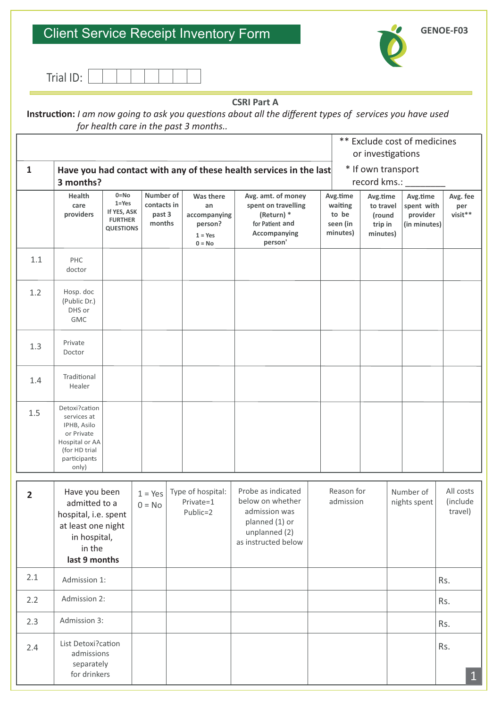### Client Service Receipt Inventory Form



**GENOE-F03**

| ™iol ⊾<br>idl<br>╹┕ ・ |
|-----------------------|
|-----------------------|

 $\overline{1}$ 

### **CSRI Part A**

Instruction: *I am now going to ask you questions about all the different types of services you have used for health care in the past 3 months..* 

|                |                                                                                                                         |                                                                            |                                              |                                                                            |                                                                                                                   |  |                                                      | ** Exclude cost of medicines<br>or investigations      |                           |                                                    |                                  |
|----------------|-------------------------------------------------------------------------------------------------------------------------|----------------------------------------------------------------------------|----------------------------------------------|----------------------------------------------------------------------------|-------------------------------------------------------------------------------------------------------------------|--|------------------------------------------------------|--------------------------------------------------------|---------------------------|----------------------------------------------------|----------------------------------|
| $\mathbf{1}$   | * If own transport<br>Have you had contact with any of these health services in the last<br>record kms.:<br>3 months?   |                                                                            |                                              |                                                                            |                                                                                                                   |  |                                                      |                                                        |                           |                                                    |                                  |
|                | Health<br>care<br>providers                                                                                             | $0 = No$<br>$1 = Yes$<br>If YES, ASK<br><b>FURTHER</b><br><b>QUESTIONS</b> | Number of<br>contacts in<br>past 3<br>months | <b>Was there</b><br>an<br>accompanying<br>person?<br>$1 = Yes$<br>$0 = No$ | Avg. amt. of money<br>spent on travelling<br>(Return) *<br>for Patient and<br>Accompanying<br>person'             |  | Avg.time<br>waiting<br>to be<br>seen (in<br>minutes) | Avg.time<br>to travel<br>(round<br>trip in<br>minutes) |                           | Avg.time<br>spent with<br>provider<br>(in minutes) | Avg. fee<br>per<br>visit**       |
| 1.1            | PHC<br>doctor                                                                                                           |                                                                            |                                              |                                                                            |                                                                                                                   |  |                                                      |                                                        |                           |                                                    |                                  |
| 1.2            | Hosp. doc<br>(Public Dr.)<br>DHS or<br><b>GMC</b>                                                                       |                                                                            |                                              |                                                                            |                                                                                                                   |  |                                                      |                                                        |                           |                                                    |                                  |
| 1.3            | Private<br>Doctor                                                                                                       |                                                                            |                                              |                                                                            |                                                                                                                   |  |                                                      |                                                        |                           |                                                    |                                  |
| 1.4            | Traditional<br>Healer                                                                                                   |                                                                            |                                              |                                                                            |                                                                                                                   |  |                                                      |                                                        |                           |                                                    |                                  |
| 1.5            | Detoxi?cation<br>services at<br>IPHB, Asilo<br>or Private<br>Hospital or AA<br>(for HD trial<br>participants<br>only)   |                                                                            |                                              |                                                                            |                                                                                                                   |  |                                                      |                                                        |                           |                                                    |                                  |
| $\overline{2}$ | Have you been<br>admitted to a<br>hospital, i.e. spent<br>at least one night<br>in hospital,<br>in the<br>last 9 months |                                                                            | $1 = Yes$<br>$0 = No$                        | Type of hospital:<br>Private=1<br>Public=2                                 | Probe as indicated<br>below on whether<br>admission was<br>planned (1) or<br>unplanned (2)<br>as instructed below |  | Reason for<br>admission                              |                                                        | Number of<br>nights spent |                                                    | All costs<br>(include<br>travel) |
| 2.1            | Admission 1:                                                                                                            |                                                                            |                                              |                                                                            |                                                                                                                   |  |                                                      |                                                        |                           |                                                    | Rs.                              |
| 2.2            | Admission 2:                                                                                                            |                                                                            |                                              |                                                                            |                                                                                                                   |  |                                                      |                                                        |                           |                                                    | Rs.                              |
| 2.3            | Admission 3:                                                                                                            |                                                                            |                                              |                                                                            |                                                                                                                   |  |                                                      |                                                        |                           |                                                    | Rs.                              |
| 2.4            | List Detoxi?cation<br>admissions<br>separately<br>for drinkers                                                          |                                                                            |                                              |                                                                            |                                                                                                                   |  |                                                      |                                                        |                           |                                                    | Rs.<br>$\mathbf{1}$              |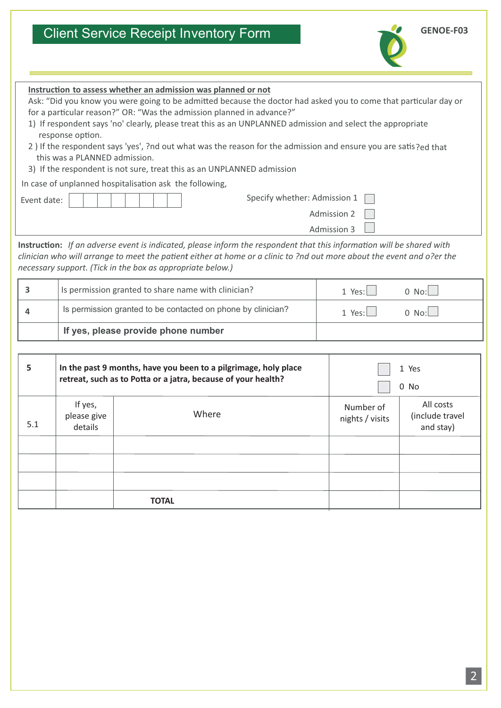## Client Service Receipt Inventory Form



**GENOE-F03**

| Instruction to assess whether an admission was planned or not<br>Ask: "Did you know you were going to be admitted because the doctor had asked you to come that particular day or<br>for a particular reason?" OR: "Was the admission planned in advance?"<br>1) If respondent says 'no' clearly, please treat this as an UNPLANNED admission and select the appropriate<br>response option.<br>2) If the respondent says 'yes', ?nd out what was the reason for the admission and ensure you are satis?ed that<br>this was a PLANNED admission.<br>3) If the respondent is not sure, treat this as an UNPLANNED admission<br>In case of unplanned hospitalisation ask the following, |                                                                                                                                  |                                                              |                                   |                                           |  |  |  |
|---------------------------------------------------------------------------------------------------------------------------------------------------------------------------------------------------------------------------------------------------------------------------------------------------------------------------------------------------------------------------------------------------------------------------------------------------------------------------------------------------------------------------------------------------------------------------------------------------------------------------------------------------------------------------------------|----------------------------------------------------------------------------------------------------------------------------------|--------------------------------------------------------------|-----------------------------------|-------------------------------------------|--|--|--|
| Event date:                                                                                                                                                                                                                                                                                                                                                                                                                                                                                                                                                                                                                                                                           |                                                                                                                                  | Specify whether: Admission 1                                 |                                   |                                           |  |  |  |
|                                                                                                                                                                                                                                                                                                                                                                                                                                                                                                                                                                                                                                                                                       |                                                                                                                                  |                                                              | <b>Admission 2</b><br>Admission 3 |                                           |  |  |  |
| Instruction: If an adverse event is indicated, please inform the respondent that this information will be shared with<br>clinician who will arrange to meet the patient either at home or a clinic to ?nd out more about the event and o?er the<br>necessary support. (Tick in the box as appropriate below.)<br>3<br>Is permission granted to share name with clinician?<br>$0$ No:<br>1 Yes: $\Box$                                                                                                                                                                                                                                                                                 |                                                                                                                                  |                                                              |                                   |                                           |  |  |  |
| 4                                                                                                                                                                                                                                                                                                                                                                                                                                                                                                                                                                                                                                                                                     |                                                                                                                                  | Is permission granted to be contacted on phone by clinician? | 1 Yes:                            | $0$ No:                                   |  |  |  |
|                                                                                                                                                                                                                                                                                                                                                                                                                                                                                                                                                                                                                                                                                       |                                                                                                                                  |                                                              |                                   |                                           |  |  |  |
|                                                                                                                                                                                                                                                                                                                                                                                                                                                                                                                                                                                                                                                                                       |                                                                                                                                  | If yes, please provide phone number                          |                                   |                                           |  |  |  |
| 5                                                                                                                                                                                                                                                                                                                                                                                                                                                                                                                                                                                                                                                                                     | In the past 9 months, have you been to a pilgrimage, holy place<br>retreat, such as to Potta or a jatra, because of your health? |                                                              | 1 Yes<br>0 No                     |                                           |  |  |  |
| 5.1                                                                                                                                                                                                                                                                                                                                                                                                                                                                                                                                                                                                                                                                                   | If yes,<br>Number of<br>Where<br>please give<br>nights / visits<br>details                                                       |                                                              |                                   | All costs<br>(include travel<br>and stay) |  |  |  |
|                                                                                                                                                                                                                                                                                                                                                                                                                                                                                                                                                                                                                                                                                       |                                                                                                                                  |                                                              |                                   |                                           |  |  |  |

| 5   |                                   | In the past 9 months, have you been to a pilgrimage, holy place<br>retreat, such as to Potta or a jatra, because of your health? | 1 Yes<br>0 No                |                                           |  |
|-----|-----------------------------------|----------------------------------------------------------------------------------------------------------------------------------|------------------------------|-------------------------------------------|--|
| 5.1 | If yes,<br>please give<br>details | Where                                                                                                                            | Number of<br>nights / visits | All costs<br>(include travel<br>and stay) |  |
|     |                                   |                                                                                                                                  |                              |                                           |  |
|     |                                   |                                                                                                                                  |                              |                                           |  |
|     |                                   |                                                                                                                                  |                              |                                           |  |
|     |                                   | <b>TOTAL</b>                                                                                                                     |                              |                                           |  |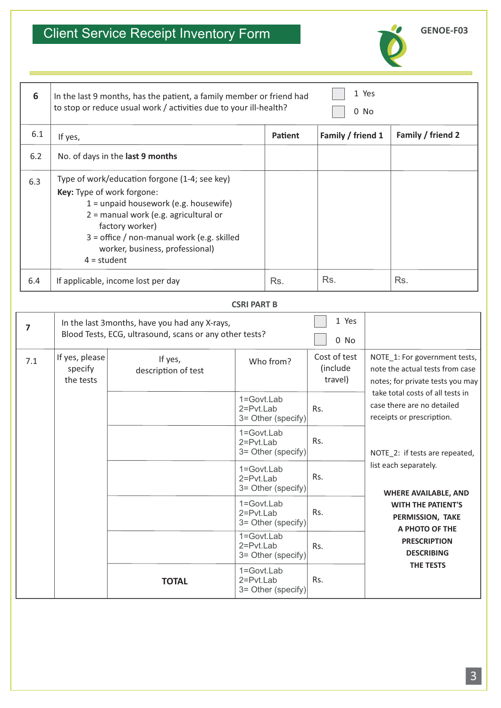# Client Service Receipt Inventory Form



| 6   | In the last 9 months, has the patient, a family member or friend had<br>to stop or reduce usual work / activities due to your ill-health?                                                                                                                                            | 1 Yes<br>0 No  |                   |                   |  |
|-----|--------------------------------------------------------------------------------------------------------------------------------------------------------------------------------------------------------------------------------------------------------------------------------------|----------------|-------------------|-------------------|--|
| 6.1 | If yes,                                                                                                                                                                                                                                                                              | <b>Patient</b> | Family / friend 1 | Family / friend 2 |  |
| 6.2 | No. of days in the last 9 months                                                                                                                                                                                                                                                     |                |                   |                   |  |
| 6.3 | Type of work/education forgone (1-4; see key)<br>Key: Type of work forgone:<br>$1 =$ unpaid housework (e.g. housewife)<br>2 = manual work (e.g. agricultural or<br>factory worker)<br>3 = office / non-manual work (e.g. skilled<br>worker, business, professional)<br>$4 = student$ |                |                   |                   |  |
| 6.4 | If applicable, income lost per day                                                                                                                                                                                                                                                   | Rs.            | Rs.               | Rs.               |  |

### **CSRI PART B**

| 7   |                                        | In the last 3months, have you had any X-rays,<br>Blood Tests, ECG, ultrasound, scans or any other tests? |                                                         | 1 Yes<br>0 No                       |                                                                                                      |
|-----|----------------------------------------|----------------------------------------------------------------------------------------------------------|---------------------------------------------------------|-------------------------------------|------------------------------------------------------------------------------------------------------|
| 7.1 | If yes, please<br>specify<br>the tests | If yes,<br>description of test                                                                           | Who from?                                               | Cost of test<br>(include<br>travel) | NOTE_1: For government tests,<br>note the actual tests from case<br>notes; for private tests you may |
|     |                                        |                                                                                                          | $1 = Govt$ . Lab<br>$2 = Pvt$ Lab<br>3= Other (specify) | Rs.                                 | take total costs of all tests in<br>case there are no detailed<br>receipts or prescription.          |
|     |                                        |                                                                                                          | 1=Govt.Lab<br>2=Pvt.Lab<br>3= Other (specify)           | Rs.                                 | NOTE_2: if tests are repeated,                                                                       |
|     |                                        |                                                                                                          | 1=Govt.Lab<br>2=Pvt.Lab<br>3= Other (specify)           | Rs.                                 | list each separately.<br><b>WHERE AVAILABLE, AND</b>                                                 |
|     |                                        |                                                                                                          | 1=Govt.Lab<br>$2 = Pvt.Lab$<br>3= Other (specify)       | Rs.                                 | <b>WITH THE PATIENT'S</b><br>PERMISSION, TAKE<br>A PHOTO OF THE                                      |
|     |                                        | <b>TOTAL</b>                                                                                             | 1=Govt.Lab<br>$2 = Pvt.Lab$<br>3= Other (specify)       | Rs.                                 | <b>PRESCRIPTION</b><br><b>DESCRIBING</b><br>THE TESTS                                                |
|     |                                        |                                                                                                          | 1=Govt.Lab<br>$2 = Pvt.Lab$<br>3= Other (specify)       | Rs.                                 |                                                                                                      |